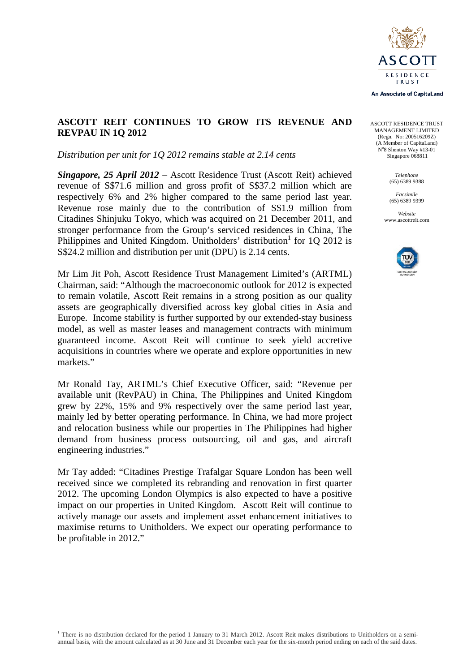

An Associate of CapitaLand

# **ASCOTT REIT CONTINUES TO GROW ITS REVENUE AND REVPAU IN 1Q 2012**

#### *Distribution per unit for 1Q 2012 remains stable at 2.14 cents*

*Singapore, 25 April 2012* – Ascott Residence Trust (Ascott Reit) achieved revenue of S\$71.6 million and gross profit of S\$37.2 million which are respectively 6% and 2% higher compared to the same period last year. Revenue rose mainly due to the contribution of S\$1.9 million from Citadines Shinjuku Tokyo, which was acquired on 21 December 2011, and stronger performance from the Group's serviced residences in China, The Philippines and United Kingdom. Unitholders' distribution<sup>1</sup> for 10 2012 is S\$24.2 million and distribution per unit (DPU) is 2.14 cents.

Mr Lim Jit Poh, Ascott Residence Trust Management Limited's (ARTML) Chairman, said: "Although the macroeconomic outlook for 2012 is expected to remain volatile, Ascott Reit remains in a strong position as our quality assets are geographically diversified across key global cities in Asia and Europe. Income stability is further supported by our extended-stay business model, as well as master leases and management contracts with minimum guaranteed income. Ascott Reit will continue to seek yield accretive acquisitions in countries where we operate and explore opportunities in new markets."

Mr Ronald Tay, ARTML's Chief Executive Officer, said: "Revenue per available unit (RevPAU) in China, The Philippines and United Kingdom grew by 22%, 15% and 9% respectively over the same period last year, mainly led by better operating performance. In China, we had more project and relocation business while our properties in The Philippines had higher demand from business process outsourcing, oil and gas, and aircraft engineering industries."

Mr Tay added: "Citadines Prestige Trafalgar Square London has been well received since we completed its rebranding and renovation in first quarter 2012. The upcoming London Olympics is also expected to have a positive impact on our properties in United Kingdom. Ascott Reit will continue to actively manage our assets and implement asset enhancement initiatives to maximise returns to Unitholders. We expect our operating performance to be profitable in 2012."

ASCOTT RESIDENCE TRUST MANAGEMENT LIMITED (Regn. No: 200516209Z) (A Member of CapitaLand) No 8 Shenton Way #13-01 Singapore 068811

> *Telephone* (65) 6389 9388

*Facsimile* (65) 6389 9399

*Website* www.ascottreit.com

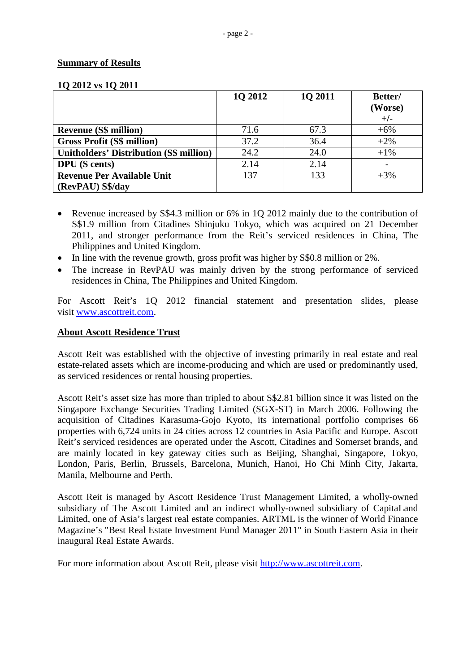### **Summary of Results**

| 1Q 2012 vs 1Q 2011 |  |
|--------------------|--|
|--------------------|--|

|                                                | 1Q 2012 | 1Q 2011 | Better/<br>(Worse)<br>$+/-$ |
|------------------------------------------------|---------|---------|-----------------------------|
| <b>Revenue (S\$ million)</b>                   | 71.6    | 67.3    | $+6%$                       |
| <b>Gross Profit (S\$ million)</b>              | 37.2    | 36.4    | $+2\%$                      |
| <b>Unitholders' Distribution (S\$ million)</b> | 24.2    | 24.0    | $+1\%$                      |
| <b>DPU</b> (S cents)                           | 2.14    | 2.14    |                             |
| <b>Revenue Per Available Unit</b>              | 137     | 133     | $+3%$                       |
| (RevPAU) S\$/day                               |         |         |                             |

- Revenue increased by S\$4.3 million or 6% in 1Q 2012 mainly due to the contribution of S\$1.9 million from Citadines Shinjuku Tokyo, which was acquired on 21 December 2011, and stronger performance from the Reit's serviced residences in China, The Philippines and United Kingdom.
- In line with the revenue growth, gross profit was higher by S\$0.8 million or 2%.
- The increase in RevPAU was mainly driven by the strong performance of serviced residences in China, The Philippines and United Kingdom.

For Ascott Reit's 1Q 2012 financial statement and presentation slides, please visit [www.ascottreit.com.](http://www.ascottreit.com/)

## **About Ascott Residence Trust**

Ascott Reit was established with the objective of investing primarily in real estate and real estate-related assets which are income-producing and which are used or predominantly used, as serviced residences or rental housing properties.

Ascott Reit's asset size has more than tripled to about S\$2.81 billion since it was listed on the Singapore Exchange Securities Trading Limited (SGX-ST) in March 2006. Following the acquisition of Citadines Karasuma-Gojo Kyoto, its international portfolio comprises 66 properties with 6,724 units in 24 cities across 12 countries in Asia Pacific and Europe. Ascott Reit's serviced residences are operated under the Ascott, Citadines and Somerset brands, and are mainly located in key gateway cities such as Beijing, Shanghai, Singapore, Tokyo, London, Paris, Berlin, Brussels, Barcelona, Munich, Hanoi, Ho Chi Minh City, Jakarta, Manila, Melbourne and Perth.

Ascott Reit is managed by Ascott Residence Trust Management Limited, a wholly-owned subsidiary of The Ascott Limited and an indirect wholly-owned subsidiary of CapitaLand Limited, one of Asia's largest real estate companies. ARTML is the winner of World Finance Magazine's "Best Real Estate Investment Fund Manager 2011" in South Eastern Asia in their inaugural Real Estate Awards.

For more information about Ascott Reit, please visit [http://www.ascottreit.com.](http://www.ascottreit.com/)